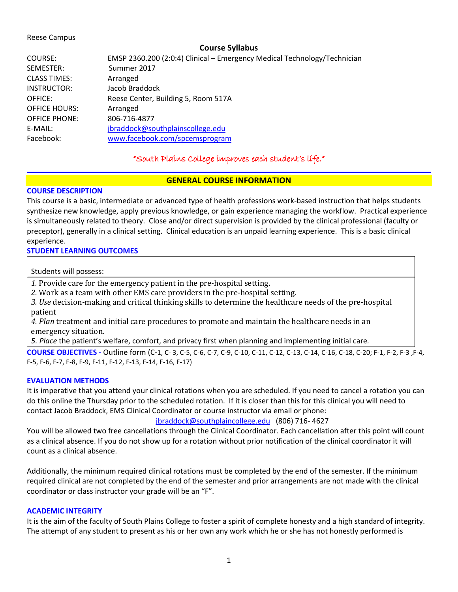#### Reese Campus

### **Course Syllabus**

| EMSP 2360.200 (2:0:4) Clinical - Emergency Medical Technology/Technician |
|--------------------------------------------------------------------------|
| Summer 2017                                                              |
| Arranged                                                                 |
| Jacob Braddock                                                           |
| Reese Center, Building 5, Room 517A                                      |
| Arranged                                                                 |
| 806-716-4877                                                             |
| jbraddock@southplainscollege.edu                                         |
| www.facebook.com/spcemsprogram                                           |
|                                                                          |

## "South Plains College improves each student's life."

## **GENERAL COURSE INFORMATION**

### **COURSE DESCRIPTION**

This course is a basic, intermediate or advanced type of health professions work-based instruction that helps students synthesize new knowledge, apply previous knowledge, or gain experience managing the workflow. Practical experience is simultaneously related to theory. Close and/or direct supervision is provided by the clinical professional (faculty or preceptor), generally in a clinical setting. Clinical education is an unpaid learning experience. This is a basic clinical experience.

### **STUDENT LEARNING OUTCOMES**

Students will possess:

*1.* Provide care for the emergency patient in the pre-hospital setting.

*2.* Work as a team with other EMS care providers in the pre-hospital setting.

*3. Use* decision-making and critical thinking skills to determine the healthcare needs of the pre-hospital patient

*4. Plan* treatment and initial care procedures to promote and maintain the healthcare needs in an emergency situation*.* 

*5. Place* the patient's welfare, comfort, and privacy first when planning and implementing initial care*.*

**COURSE OBJECTIVES -** Outline form (C-1, C- 3, C-5, C-6, C-7, C-9, C-10, C-11, C-12, C-13, C-14, C-16, C-18, C-20; F-1, F-2, F-3 ,F-4, F-5, F-6, F-7, F-8, F-9, F-11, F-12, F-13, F-14, F-16, F-17)

### **EVALUATION METHODS**

It is imperative that you attend your clinical rotations when you are scheduled. If you need to cancel a rotation you can do this online the Thursday prior to the scheduled rotation. If it is closer than this for this clinical you will need to contact Jacob Braddock, EMS Clinical Coordinator or course instructor via email or phone:

## [jbraddock@southplaincollege.edu](mailto:jbraddock@southplaincollege.edu) (806) 716- 4627

You will be allowed two free cancellations through the Clinical Coordinator. Each cancellation after this point will count as a clinical absence. If you do not show up for a rotation without prior notification of the clinical coordinator it will count as a clinical absence.

Additionally, the minimum required clinical rotations must be completed by the end of the semester. If the minimum required clinical are not completed by the end of the semester and prior arrangements are not made with the clinical coordinator or class instructor your grade will be an "F".

### **ACADEMIC INTEGRITY**

It is the aim of the faculty of South Plains College to foster a spirit of complete honesty and a high standard of integrity. The attempt of any student to present as his or her own any work which he or she has not honestly performed is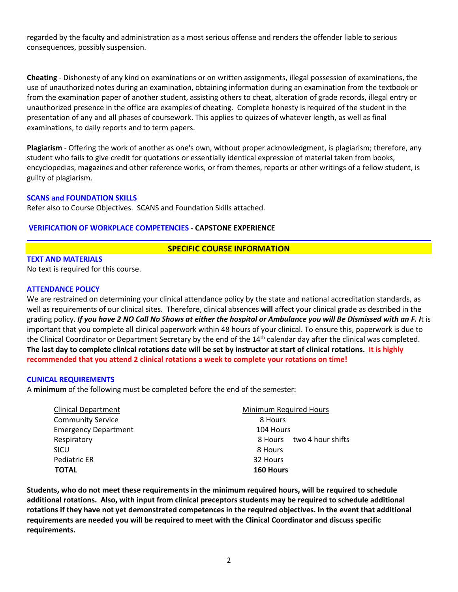regarded by the faculty and administration as a most serious offense and renders the offender liable to serious consequences, possibly suspension.

**Cheating** - Dishonesty of any kind on examinations or on written assignments, illegal possession of examinations, the use of unauthorized notes during an examination, obtaining information during an examination from the textbook or from the examination paper of another student, assisting others to cheat, alteration of grade records, illegal entry or unauthorized presence in the office are examples of cheating. Complete honesty is required of the student in the presentation of any and all phases of coursework. This applies to quizzes of whatever length, as well as final examinations, to daily reports and to term papers.

**Plagiarism** - Offering the work of another as one's own, without proper acknowledgment, is plagiarism; therefore, any student who fails to give credit for quotations or essentially identical expression of material taken from books, encyclopedias, magazines and other reference works, or from themes, reports or other writings of a fellow student, is guilty of plagiarism.

### **SCANS and FOUNDATION SKILLS**

Refer also to Course Objectives. SCANS and Foundation Skills attached.

### **VERIFICATION OF WORKPLACE COMPETENCIES** - **CAPSTONE EXPERIENCE**

### **SPECIFIC COURSE INFORMATION**

**TEXT AND MATERIALS**

No text is required for this course.

### **ATTENDANCE POLICY**

We are restrained on determining your clinical attendance policy by the state and national accreditation standards, as well as requirements of our clinical sites. Therefore, clinical absences **will** affect your clinical grade as described in the grading policy. *If you have 2 NO Call No Shows at either the hospital or Ambulance you will Be Dismissed with an F. I*t is important that you complete all clinical paperwork within 48 hours of your clinical. To ensure this, paperwork is due to the Clinical Coordinator or Department Secretary by the end of the 14th calendar day after the clinical was completed. **The last day to complete clinical rotations date will be set by instructor at start of clinical rotations. It is highly recommended that you attend 2 clinical rotations a week to complete your rotations on time!**

#### **CLINICAL REQUIREMENTS**

A **minimum** of the following must be completed before the end of the semester:

| <b>Clinical Department</b>  | Minimum Required Hours       |
|-----------------------------|------------------------------|
| <b>Community Service</b>    | 8 Hours                      |
| <b>Emergency Department</b> | 104 Hours                    |
| Respiratory                 | two 4 hour shifts<br>8 Hours |
| SICU                        | 8 Hours                      |
| Pediatric ER                | 32 Hours                     |
| <b>TOTAL</b>                | 160 Hours                    |

**Students, who do not meet these requirements in the minimum required hours, will be required to schedule additional rotations. Also, with input from clinical preceptors students may be required to schedule additional rotations if they have not yet demonstrated competences in the required objectives. In the event that additional requirements are needed you will be required to meet with the Clinical Coordinator and discuss specific requirements.**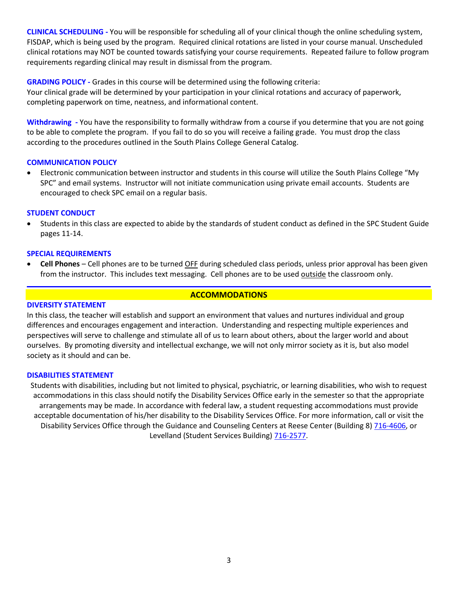**CLINICAL SCHEDULING -** You will be responsible for scheduling all of your clinical though the online scheduling system, FISDAP, which is being used by the program. Required clinical rotations are listed in your course manual. Unscheduled clinical rotations may NOT be counted towards satisfying your course requirements. Repeated failure to follow program requirements regarding clinical may result in dismissal from the program.

**GRADING POLICY -** Grades in this course will be determined using the following criteria:

Your clinical grade will be determined by your participation in your clinical rotations and accuracy of paperwork, completing paperwork on time, neatness, and informational content.

**Withdrawing -** You have the responsibility to formally withdraw from a course if you determine that you are not going to be able to complete the program. If you fail to do so you will receive a failing grade. You must drop the class according to the procedures outlined in the South Plains College General Catalog.

## **COMMUNICATION POLICY**

• Electronic communication between instructor and students in this course will utilize the South Plains College "My SPC" and email systems. Instructor will not initiate communication using private email accounts. Students are encouraged to check SPC email on a regular basis.

### **STUDENT CONDUCT**

• Students in this class are expected to abide by the standards of student conduct as defined in the SPC Student Guide pages 11-14.

## **SPECIAL REQUIREMENTS**

• **Cell Phones** – Cell phones are to be turned OFF during scheduled class periods, unless prior approval has been given from the instructor. This includes text messaging. Cell phones are to be used outside the classroom only.

## **ACCOMMODATIONS**

### **DIVERSITY STATEMENT**

In this class, the teacher will establish and support an environment that values and nurtures individual and group differences and encourages engagement and interaction. Understanding and respecting multiple experiences and perspectives will serve to challenge and stimulate all of us to learn about others, about the larger world and about ourselves. By promoting diversity and intellectual exchange, we will not only mirror society as it is, but also model society as it should and can be.

### **DISABILITIES STATEMENT**

Students with disabilities, including but not limited to physical, psychiatric, or learning disabilities, who wish to request accommodations in this class should notify the Disability Services Office early in the semester so that the appropriate arrangements may be made. In accordance with federal law, a student requesting accommodations must provide acceptable documentation of his/her disability to the Disability Services Office. For more information, call or visit the Disability Services Office through the Guidance and Counseling Centers at Reese Center (Building 8) [716-4606,](tel:716-4606) or Levelland (Student Services Building) [716-2577.](tel:716-2577)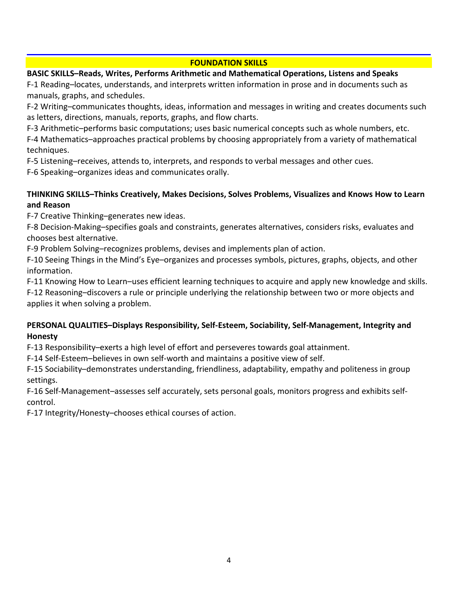# **FOUNDATION SKILLS**

# **BASIC SKILLS–Reads, Writes, Performs Arithmetic and Mathematical Operations, Listens and Speaks**

F-1 Reading–locates, understands, and interprets written information in prose and in documents such as manuals, graphs, and schedules.

F-2 Writing–communicates thoughts, ideas, information and messages in writing and creates documents such as letters, directions, manuals, reports, graphs, and flow charts.

F-3 Arithmetic–performs basic computations; uses basic numerical concepts such as whole numbers, etc.

F-4 Mathematics–approaches practical problems by choosing appropriately from a variety of mathematical techniques.

F-5 Listening–receives, attends to, interprets, and responds to verbal messages and other cues.

F-6 Speaking–organizes ideas and communicates orally.

# **THINKING SKILLS–Thinks Creatively, Makes Decisions, Solves Problems, Visualizes and Knows How to Learn and Reason**

F-7 Creative Thinking–generates new ideas.

F-8 Decision-Making–specifies goals and constraints, generates alternatives, considers risks, evaluates and chooses best alternative.

F-9 Problem Solving–recognizes problems, devises and implements plan of action.

F-10 Seeing Things in the Mind's Eye–organizes and processes symbols, pictures, graphs, objects, and other information.

F-11 Knowing How to Learn–uses efficient learning techniques to acquire and apply new knowledge and skills.

F-12 Reasoning–discovers a rule or principle underlying the relationship between two or more objects and applies it when solving a problem.

# **PERSONAL QUALITIES–Displays Responsibility, Self-Esteem, Sociability, Self-Management, Integrity and Honesty**

F-13 Responsibility–exerts a high level of effort and perseveres towards goal attainment.

F-14 Self-Esteem–believes in own self-worth and maintains a positive view of self.

F-15 Sociability–demonstrates understanding, friendliness, adaptability, empathy and politeness in group settings.

F-16 Self-Management–assesses self accurately, sets personal goals, monitors progress and exhibits selfcontrol.

F-17 Integrity/Honesty–chooses ethical courses of action.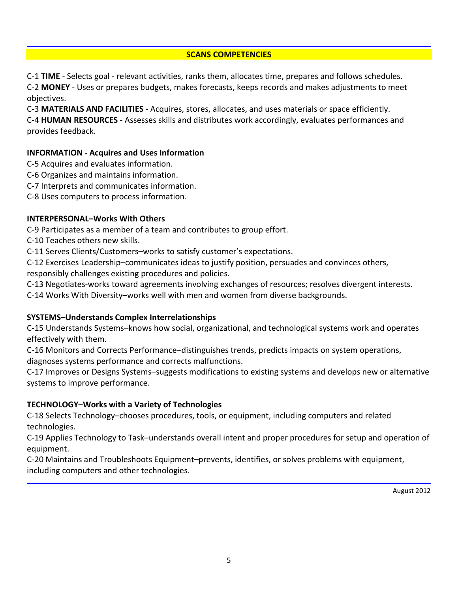## **SCANS COMPETENCIES**

C-1 **TIME** - Selects goal - relevant activities, ranks them, allocates time, prepares and follows schedules. C-2 **MONEY** - Uses or prepares budgets, makes forecasts, keeps records and makes adjustments to meet objectives.

C-3 **MATERIALS AND FACILITIES** - Acquires, stores, allocates, and uses materials or space efficiently.

C-4 **HUMAN RESOURCES** - Assesses skills and distributes work accordingly, evaluates performances and provides feedback.

## **INFORMATION - Acquires and Uses Information**

- C-5 Acquires and evaluates information.
- C-6 Organizes and maintains information.
- C-7 Interprets and communicates information.
- C-8 Uses computers to process information.

## **INTERPERSONAL–Works With Others**

C-9 Participates as a member of a team and contributes to group effort.

C-10 Teaches others new skills.

C-11 Serves Clients/Customers–works to satisfy customer's expectations.

C-12 Exercises Leadership–communicates ideas to justify position, persuades and convinces others, responsibly challenges existing procedures and policies.

C-13 Negotiates-works toward agreements involving exchanges of resources; resolves divergent interests.

C-14 Works With Diversity–works well with men and women from diverse backgrounds.

# **SYSTEMS–Understands Complex Interrelationships**

C-15 Understands Systems–knows how social, organizational, and technological systems work and operates effectively with them.

C-16 Monitors and Corrects Performance–distinguishes trends, predicts impacts on system operations, diagnoses systems performance and corrects malfunctions.

C-17 Improves or Designs Systems–suggests modifications to existing systems and develops new or alternative systems to improve performance.

# **TECHNOLOGY–Works with a Variety of Technologies**

C-18 Selects Technology–chooses procedures, tools, or equipment, including computers and related technologies.

C-19 Applies Technology to Task–understands overall intent and proper procedures for setup and operation of equipment.

C-20 Maintains and Troubleshoots Equipment–prevents, identifies, or solves problems with equipment, including computers and other technologies.

August 2012